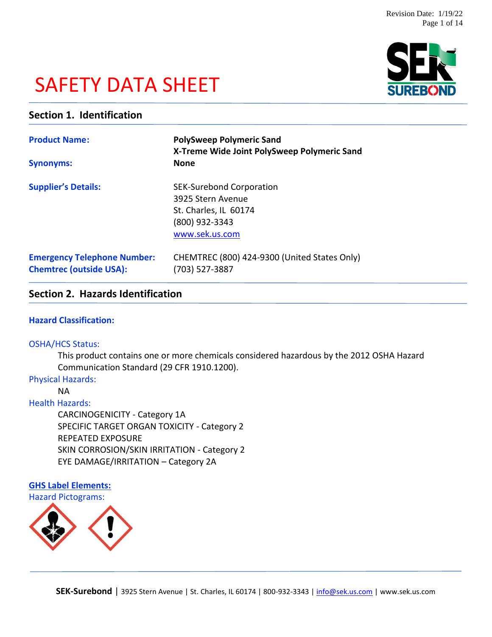# SAFETY DATA SHEET



# **Section 1. Identification**

| <b>Product Name:</b><br><b>Synonyms:</b>                             | <b>PolySweep Polymeric Sand</b><br>X-Treme Wide Joint PolySweep Polymeric Sand<br><b>None</b>                     |  |
|----------------------------------------------------------------------|-------------------------------------------------------------------------------------------------------------------|--|
| <b>Supplier's Details:</b>                                           | <b>SEK-Surebond Corporation</b><br>3925 Stern Avenue<br>St. Charles, IL 60174<br>(800) 932-3343<br>www.sek.us.com |  |
| <b>Emergency Telephone Number:</b><br><b>Chemtrec (outside USA):</b> | CHEMTREC (800) 424-9300 (United States Only)<br>(703) 527-3887                                                    |  |

# **Section 2. Hazards Identification**

# **Hazard Classification:**

#### OSHA/HCS Status:

This product contains one or more chemicals considered hazardous by the 2012 OSHA Hazard Communication Standard (29 CFR 1910.1200).

## Physical Hazards:

NA

# Health Hazards:

CARCINOGENICITY - Category 1A SPECIFIC TARGET ORGAN TOXICITY - Category 2 REPEATED EXPOSURE SKIN CORROSION/SKIN IRRITATION - Category 2 EYE DAMAGE/IRRITATION – Category 2A

# **GHS Label Elements:** Hazard Pictograms:

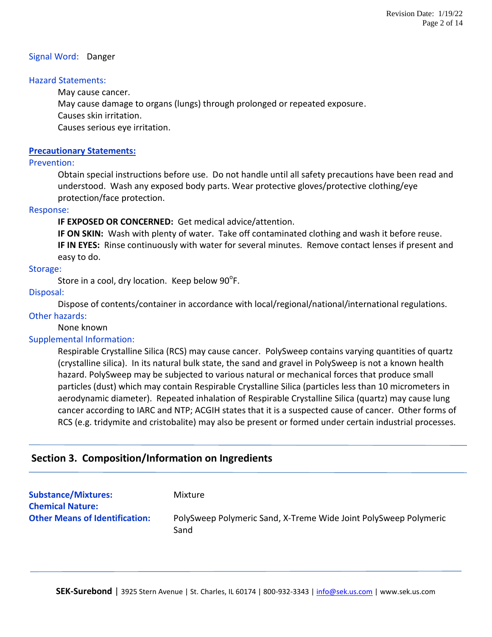#### Signal Word: Danger

## Hazard Statements:

May cause cancer.

May cause damage to organs (lungs) through prolonged or repeated exposure.

Causes skin irritation.

Causes serious eye irritation.

## **Precautionary Statements:**

#### Prevention:

Obtain special instructions before use. Do not handle until all safety precautions have been read and understood. Wash any exposed body parts. Wear protective gloves/protective clothing/eye protection/face protection.

#### Response:

**IF EXPOSED OR CONCERNED:** Get medical advice/attention.

**IF ON SKIN:** Wash with plenty of water. Take off contaminated clothing and wash it before reuse. **IF IN EYES:** Rinse continuously with water for several minutes. Remove contact lenses if present and easy to do.

# Storage:

Store in a cool, dry location. Keep below 90 $\mathrm{^oF}.$ 

# Disposal:

Dispose of contents/container in accordance with local/regional/national/international regulations.

#### Other hazards:

None known

# Supplemental Information:

Respirable Crystalline Silica (RCS) may cause cancer. PolySweep contains varying quantities of quartz (crystalline silica). In its natural bulk state, the sand and gravel in PolySweep is not a known health hazard. PolySweep may be subjected to various natural or mechanical forces that produce small particles (dust) which may contain Respirable Crystalline Silica (particles less than 10 micrometers in aerodynamic diameter). Repeated inhalation of Respirable Crystalline Silica (quartz) may cause lung cancer according to IARC and NTP; ACGIH states that it is a suspected cause of cancer. Other forms of RCS (e.g. tridymite and cristobalite) may also be present or formed under certain industrial processes.

# **Section 3. Composition/Information on Ingredients**

| <b>Substance/Mixtures:</b><br><b>Chemical Nature:</b> | Mixture                                                                  |
|-------------------------------------------------------|--------------------------------------------------------------------------|
| <b>Other Means of Identification:</b>                 | PolySweep Polymeric Sand, X-Treme Wide Joint PolySweep Polymeric<br>Sand |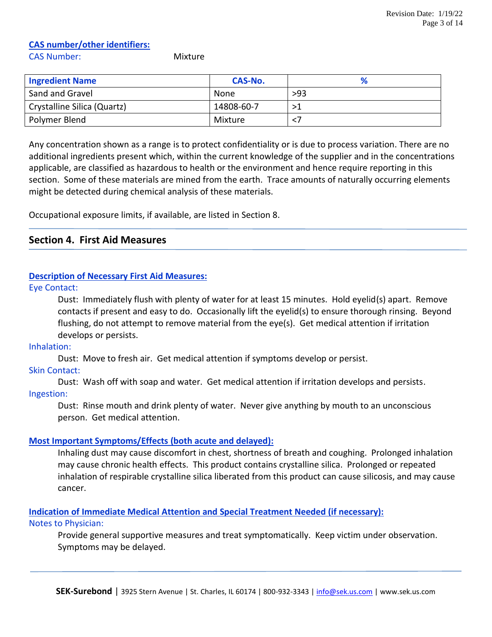# **CAS number/other identifiers:**

CAS Number: Mixture

| <b>Ingredient Name</b>      | CAS-No.    |     |
|-----------------------------|------------|-----|
| Sand and Gravel             | None       | >93 |
| Crystalline Silica (Quartz) | 14808-60-7 | >1  |
| Polymer Blend               | Mixture    | <.  |

Any concentration shown as a range is to protect confidentiality or is due to process variation. There are no additional ingredients present which, within the current knowledge of the supplier and in the concentrations applicable, are classified as hazardous to health or the environment and hence require reporting in this section. Some of these materials are mined from the earth. Trace amounts of naturally occurring elements might be detected during chemical analysis of these materials.

Occupational exposure limits, if available, are listed in Section 8.

# **Section 4. First Aid Measures**

#### **Description of Necessary First Aid Measures:**

Eye Contact:

Dust: Immediately flush with plenty of water for at least 15 minutes. Hold eyelid(s) apart. Remove contacts if present and easy to do. Occasionally lift the eyelid(s) to ensure thorough rinsing. Beyond flushing, do not attempt to remove material from the eye(s). Get medical attention if irritation develops or persists.

Inhalation:

Dust: Move to fresh air. Get medical attention if symptoms develop or persist.

Skin Contact:

Dust: Wash off with soap and water. Get medical attention if irritation develops and persists. Ingestion:

Dust: Rinse mouth and drink plenty of water. Never give anything by mouth to an unconscious person. Get medical attention.

# **Most Important Symptoms/Effects (both acute and delayed):**

Inhaling dust may cause discomfort in chest, shortness of breath and coughing. Prolonged inhalation may cause chronic health effects. This product contains crystalline silica. Prolonged or repeated inhalation of respirable crystalline silica liberated from this product can cause silicosis, and may cause cancer.

**Indication of Immediate Medical Attention and Special Treatment Needed (if necessary):**

#### Notes to Physician:

Provide general supportive measures and treat symptomatically. Keep victim under observation. Symptoms may be delayed.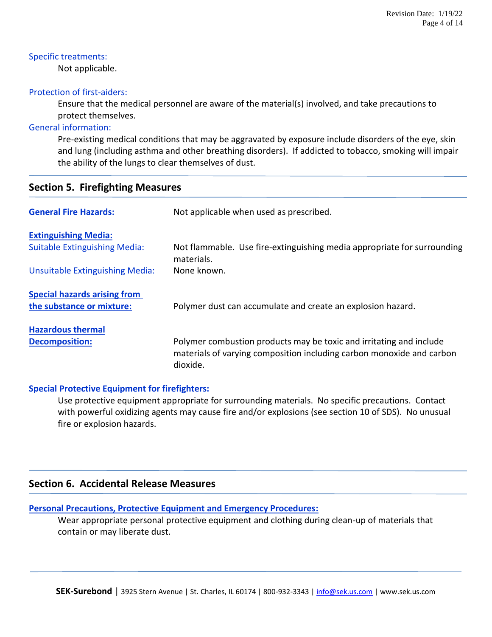## Specific treatments:

Not applicable.

# Protection of first-aiders:

Ensure that the medical personnel are aware of the material(s) involved, and take precautions to protect themselves.

# General information:

Pre-existing medical conditions that may be aggravated by exposure include disorders of the eye, skin and lung (including asthma and other breathing disorders). If addicted to tobacco, smoking will impair the ability of the lungs to clear themselves of dust.

|  | <b>Section 5. Firefighting Measures</b> |  |
|--|-----------------------------------------|--|
|--|-----------------------------------------|--|

| <b>General Fire Hazards:</b>         | Not applicable when used as prescribed.                                                                                                                  |  |  |
|--------------------------------------|----------------------------------------------------------------------------------------------------------------------------------------------------------|--|--|
| <b>Extinguishing Media:</b>          |                                                                                                                                                          |  |  |
| <b>Suitable Extinguishing Media:</b> | Not flammable. Use fire-extinguishing media appropriate for surrounding<br>materials.                                                                    |  |  |
| Unsuitable Extinguishing Media:      | None known.                                                                                                                                              |  |  |
| <b>Special hazards arising from</b>  |                                                                                                                                                          |  |  |
| the substance or mixture:            | Polymer dust can accumulate and create an explosion hazard.                                                                                              |  |  |
| <b>Hazardous thermal</b>             |                                                                                                                                                          |  |  |
| <b>Decomposition:</b>                | Polymer combustion products may be toxic and irritating and include<br>materials of varying composition including carbon monoxide and carbon<br>dioxide. |  |  |

# **Special Protective Equipment for firefighters:**

Use protective equipment appropriate for surrounding materials. No specific precautions. Contact with powerful oxidizing agents may cause fire and/or explosions (see section 10 of SDS). No unusual fire or explosion hazards.

# **Section 6. Accidental Release Measures**

# **Personal Precautions, Protective Equipment and Emergency Procedures:**

Wear appropriate personal protective equipment and clothing during clean-up of materials that contain or may liberate dust.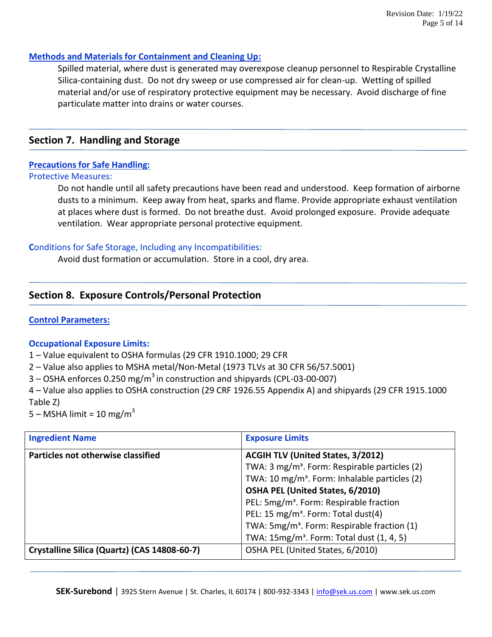## **Methods and Materials for Containment and Cleaning Up:**

Spilled material, where dust is generated may overexpose cleanup personnel to Respirable Crystalline Silica-containing dust. Do not dry sweep or use compressed air for clean-up. Wetting of spilled material and/or use of respiratory protective equipment may be necessary. Avoid discharge of fine particulate matter into drains or water courses.

# **Section 7. Handling and Storage**

# **Precautions for Safe Handling:**

#### Protective Measures:

Do not handle until all safety precautions have been read and understood. Keep formation of airborne dusts to a minimum. Keep away from heat, sparks and flame. Provide appropriate exhaust ventilation at places where dust is formed. Do not breathe dust. Avoid prolonged exposure. Provide adequate ventilation. Wear appropriate personal protective equipment.

# **C**onditions for Safe Storage, Including any Incompatibilities:

Avoid dust formation or accumulation. Store in a cool, dry area.

# **Section 8. Exposure Controls/Personal Protection**

# **Control Parameters:**

# **Occupational Exposure Limits:**

- 1 Value equivalent to OSHA formulas (29 CFR 1910.1000; 29 CFR
- 2 Value also applies to MSHA metal/Non-Metal (1973 TLVs at 30 CFR 56/57.5001)
- $3$  OSHA enforces 0.250 mg/m<sup>3</sup> in construction and shipyards (CPL-03-00-007)

4 – Value also applies to OSHA construction (29 CRF 1926.55 Appendix A) and shipyards (29 CFR 1915.1000 Table Z)

5 – MSHA limit = 10 mg/m<sup>3</sup>

| <b>Ingredient Name</b>                       | <b>Exposure Limits</b>                                    |  |
|----------------------------------------------|-----------------------------------------------------------|--|
| Particles not otherwise classified           | <b>ACGIH TLV (United States, 3/2012)</b>                  |  |
|                                              | TWA: 3 mg/m <sup>3</sup> . Form: Respirable particles (2) |  |
|                                              | TWA: 10 mg/m <sup>3</sup> . Form: Inhalable particles (2) |  |
|                                              | OSHA PEL (United States, 6/2010)                          |  |
|                                              | PEL: 5mg/m <sup>3</sup> . Form: Respirable fraction       |  |
|                                              | PEL: 15 mg/m <sup>3</sup> . Form: Total dust(4)           |  |
|                                              | TWA: 5mg/m <sup>3</sup> . Form: Respirable fraction (1)   |  |
|                                              | TWA: 15mg/m <sup>3</sup> . Form: Total dust (1, 4, 5)     |  |
| Crystalline Silica (Quartz) (CAS 14808-60-7) | OSHA PEL (United States, 6/2010)                          |  |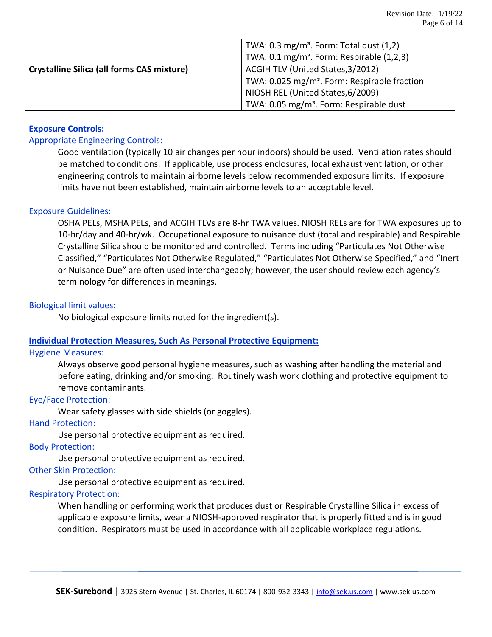|                                                   | TWA: $0.3 \text{ mg/m}^3$ . Form: Total dust $(1,2)$     |  |  |
|---------------------------------------------------|----------------------------------------------------------|--|--|
|                                                   | TWA: 0.1 mg/m <sup>3</sup> . Form: Respirable (1,2,3)    |  |  |
| <b>Crystalline Silica (all forms CAS mixture)</b> | ACGIH TLV (United States, 3/2012)                        |  |  |
|                                                   | TWA: 0.025 mg/m <sup>3</sup> . Form: Respirable fraction |  |  |
|                                                   | NIOSH REL (United States, 6/2009)                        |  |  |
|                                                   | TWA: 0.05 mg/m <sup>3</sup> . Form: Respirable dust      |  |  |

# **Exposure Controls:**

#### Appropriate Engineering Controls:

Good ventilation (typically 10 air changes per hour indoors) should be used. Ventilation rates should be matched to conditions. If applicable, use process enclosures, local exhaust ventilation, or other engineering controls to maintain airborne levels below recommended exposure limits. If exposure limits have not been established, maintain airborne levels to an acceptable level.

#### Exposure Guidelines:

OSHA PELs, MSHA PELs, and ACGIH TLVs are 8-hr TWA values. NIOSH RELs are for TWA exposures up to 10-hr/day and 40-hr/wk. Occupational exposure to nuisance dust (total and respirable) and Respirable Crystalline Silica should be monitored and controlled. Terms including "Particulates Not Otherwise Classified," "Particulates Not Otherwise Regulated," "Particulates Not Otherwise Specified," and "Inert or Nuisance Due" are often used interchangeably; however, the user should review each agency's terminology for differences in meanings.

#### Biological limit values:

No biological exposure limits noted for the ingredient(s).

#### **Individual Protection Measures, Such As Personal Protective Equipment:**

#### Hygiene Measures:

Always observe good personal hygiene measures, such as washing after handling the material and before eating, drinking and/or smoking. Routinely wash work clothing and protective equipment to remove contaminants.

#### Eye/Face Protection:

Wear safety glasses with side shields (or goggles).

### Hand Protection:

Use personal protective equipment as required.

#### Body Protection:

Use personal protective equipment as required.

#### Other Skin Protection:

Use personal protective equipment as required.

#### Respiratory Protection:

When handling or performing work that produces dust or Respirable Crystalline Silica in excess of applicable exposure limits, wear a NIOSH-approved respirator that is properly fitted and is in good condition. Respirators must be used in accordance with all applicable workplace regulations.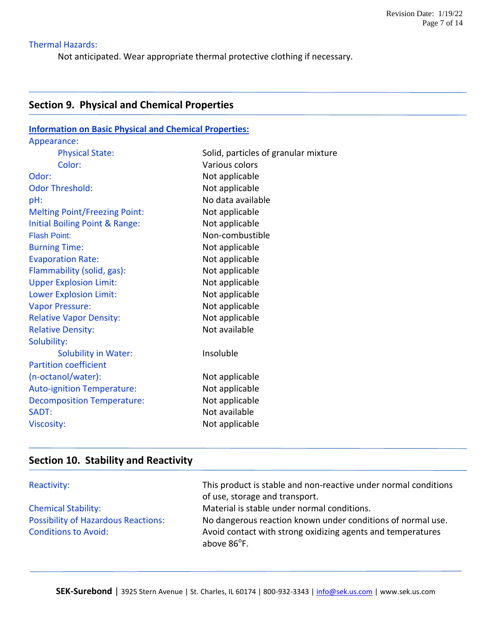# Thermal Hazards:

Not anticipated. Wear appropriate thermal protective clothing if necessary.

# **Section 9. Physical and Chemical Properties**

| <b>Information on Basic Physical and Chemical Properties:</b> |                                      |  |  |  |
|---------------------------------------------------------------|--------------------------------------|--|--|--|
| Appearance:                                                   |                                      |  |  |  |
| <b>Physical State:</b>                                        | Solid, particles of granular mixture |  |  |  |
| Color:                                                        | Various colors                       |  |  |  |
| Odor:                                                         | Not applicable                       |  |  |  |
| <b>Odor Threshold:</b>                                        | Not applicable                       |  |  |  |
| pH:                                                           | No data available                    |  |  |  |
| <b>Melting Point/Freezing Point:</b>                          | Not applicable                       |  |  |  |
| Initial Boiling Point & Range:                                | Not applicable                       |  |  |  |
| <b>Flash Point:</b>                                           | Non-combustible                      |  |  |  |
| <b>Burning Time:</b>                                          | Not applicable                       |  |  |  |
| <b>Evaporation Rate:</b>                                      | Not applicable                       |  |  |  |
| Flammability (solid, gas):                                    | Not applicable                       |  |  |  |
| <b>Upper Explosion Limit:</b>                                 | Not applicable                       |  |  |  |
| <b>Lower Explosion Limit:</b>                                 | Not applicable                       |  |  |  |
| <b>Vapor Pressure:</b>                                        | Not applicable                       |  |  |  |
| <b>Relative Vapor Density:</b>                                | Not applicable                       |  |  |  |
| <b>Relative Density:</b>                                      | Not available                        |  |  |  |
| Solubility:                                                   |                                      |  |  |  |
| <b>Solubility in Water:</b>                                   | Insoluble                            |  |  |  |
| <b>Partition coefficient</b>                                  |                                      |  |  |  |
| (n-octanol/water):                                            | Not applicable                       |  |  |  |
| <b>Auto-ignition Temperature:</b>                             | Not applicable                       |  |  |  |
| <b>Decomposition Temperature:</b>                             | Not applicable                       |  |  |  |
| SADT:                                                         | Not available                        |  |  |  |
| <b>Viscosity:</b>                                             | Not applicable                       |  |  |  |

# **Section 10. Stability and Reactivity**

| Reactivity:                                | This product is stable and non-reactive under normal conditions<br>of use, storage and transport. |
|--------------------------------------------|---------------------------------------------------------------------------------------------------|
| <b>Chemical Stability:</b>                 | Material is stable under normal conditions.                                                       |
| <b>Possibility of Hazardous Reactions:</b> | No dangerous reaction known under conditions of normal use.                                       |
| <b>Conditions to Avoid:</b>                | Avoid contact with strong oxidizing agents and temperatures<br>above 86 <sup>°</sup> F.           |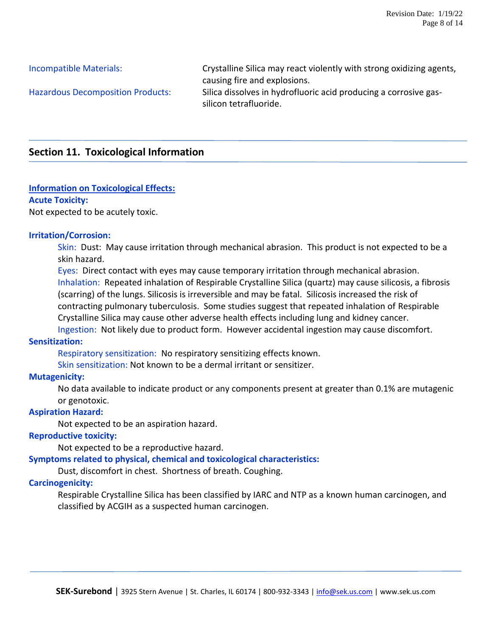Incompatible Materials: Crystalline Silica may react violently with strong oxidizing agents, causing fire and explosions. Hazardous Decomposition Products: Silica dissolves in hydrofluoric acid producing a corrosive gassilicon tetrafluoride.

# **Section 11. Toxicological Information**

# **Information on Toxicological Effects:**

#### **Acute Toxicity:**

Not expected to be acutely toxic.

#### **Irritation/Corrosion:**

Skin: Dust: May cause irritation through mechanical abrasion. This product is not expected to be a skin hazard.

Eyes: Direct contact with eyes may cause temporary irritation through mechanical abrasion. Inhalation: Repeated inhalation of Respirable Crystalline Silica (quartz) may cause silicosis, a fibrosis (scarring) of the lungs. Silicosis is irreversible and may be fatal. Silicosis increased the risk of contracting pulmonary tuberculosis. Some studies suggest that repeated inhalation of Respirable Crystalline Silica may cause other adverse health effects including lung and kidney cancer. Ingestion: Not likely due to product form. However accidental ingestion may cause discomfort.

# **Sensitization:**

Respiratory sensitization: No respiratory sensitizing effects known.

Skin sensitization: Not known to be a dermal irritant or sensitizer.

# **Mutagenicity:**

No data available to indicate product or any components present at greater than 0.1% are mutagenic or genotoxic.

# **Aspiration Hazard:**

Not expected to be an aspiration hazard.

# **Reproductive toxicity:**

Not expected to be a reproductive hazard.

**Symptoms related to physical, chemical and toxicological characteristics:**

Dust, discomfort in chest. Shortness of breath. Coughing.

# **Carcinogenicity:**

Respirable Crystalline Silica has been classified by IARC and NTP as a known human carcinogen, and classified by ACGIH as a suspected human carcinogen.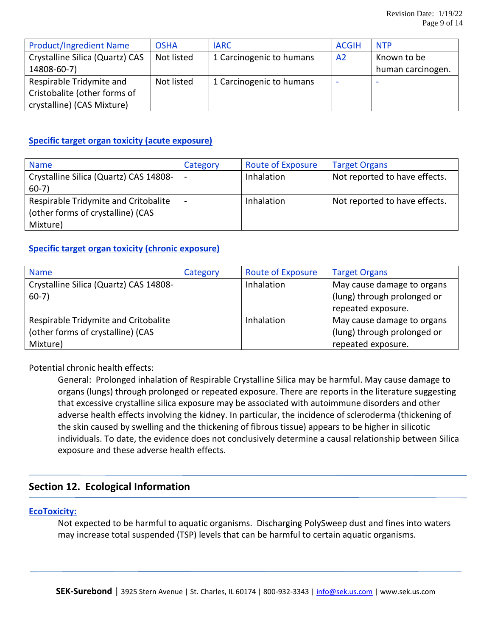| <b>Product/Ingredient Name</b>  | <b>OSHA</b> | <b>IARC</b>              | <b>ACGIH</b> | <b>NTP</b>        |
|---------------------------------|-------------|--------------------------|--------------|-------------------|
| Crystalline Silica (Quartz) CAS | Not listed  | 1 Carcinogenic to humans | A2           | Known to be       |
| 14808-60-7)                     |             |                          |              | human carcinogen. |
| Respirable Tridymite and        | Not listed  | 1 Carcinogenic to humans |              |                   |
| Cristobalite (other forms of    |             |                          |              |                   |
| crystalline) (CAS Mixture)      |             |                          |              |                   |

# **Specific target organ toxicity (acute exposure)**

| <b>Name</b>                            | Category                 | <b>Route of Exposure</b> | <b>Target Organs</b>          |
|----------------------------------------|--------------------------|--------------------------|-------------------------------|
| Crystalline Silica (Quartz) CAS 14808- |                          | Inhalation               | Not reported to have effects. |
| $60-7)$                                |                          |                          |                               |
| Respirable Tridymite and Critobalite   | $\overline{\phantom{a}}$ | Inhalation               | Not reported to have effects. |
| (other forms of crystalline) (CAS      |                          |                          |                               |
| Mixture)                               |                          |                          |                               |

# **Specific target organ toxicity (chronic exposure)**

| <b>Name</b>                            | Category | <b>Route of Exposure</b> | <b>Target Organs</b>        |
|----------------------------------------|----------|--------------------------|-----------------------------|
| Crystalline Silica (Quartz) CAS 14808- |          | Inhalation               | May cause damage to organs  |
| $60-7)$                                |          |                          | (lung) through prolonged or |
|                                        |          |                          | repeated exposure.          |
| Respirable Tridymite and Critobalite   |          | Inhalation               | May cause damage to organs  |
| (other forms of crystalline) (CAS      |          |                          | (lung) through prolonged or |
| Mixture)                               |          |                          | repeated exposure.          |

Potential chronic health effects:

General: Prolonged inhalation of Respirable Crystalline Silica may be harmful. May cause damage to organs (lungs) through prolonged or repeated exposure. There are reports in the literature suggesting that excessive crystalline silica exposure may be associated with autoimmune disorders and other adverse health effects involving the kidney. In particular, the incidence of scleroderma (thickening of the skin caused by swelling and the thickening of fibrous tissue) appears to be higher in silicotic individuals. To date, the evidence does not conclusively determine a causal relationship between Silica exposure and these adverse health effects.

# **Section 12. Ecological Information**

# **EcoToxicity:**

Not expected to be harmful to aquatic organisms. Discharging PolySweep dust and fines into waters may increase total suspended (TSP) levels that can be harmful to certain aquatic organisms.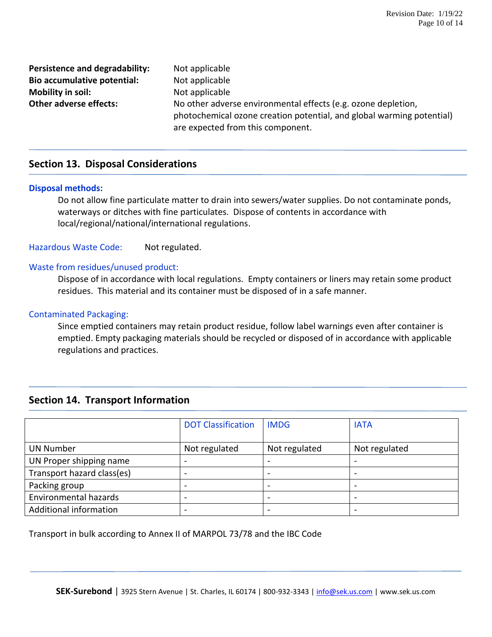**Persistence and degradability:** Not applicable **Bio accumulative potential:** Not applicable **Mobility in soil:** Not applicable

**Other adverse effects:** No other adverse environmental effects (e.g. ozone depletion, photochemical ozone creation potential, and global warming potential) are expected from this component.

# **Section 13. Disposal Considerations**

#### **Disposal methods:**

Do not allow fine particulate matter to drain into sewers/water supplies. Do not contaminate ponds, waterways or ditches with fine particulates. Dispose of contents in accordance with local/regional/national/international regulations.

Hazardous Waste Code: Not regulated.

#### Waste from residues/unused product:

Dispose of in accordance with local regulations. Empty containers or liners may retain some product residues. This material and its container must be disposed of in a safe manner.

### Contaminated Packaging:

Since emptied containers may retain product residue, follow label warnings even after container is emptied. Empty packaging materials should be recycled or disposed of in accordance with applicable regulations and practices.

# **Section 14. Transport Information**

|                              | <b>DOT Classification</b> | <b>IMDG</b>   | <b>IATA</b>   |
|------------------------------|---------------------------|---------------|---------------|
| <b>UN Number</b>             | Not regulated             | Not regulated | Not regulated |
| UN Proper shipping name      |                           |               |               |
| Transport hazard class(es)   |                           |               |               |
| Packing group                | -                         |               |               |
| <b>Environmental hazards</b> |                           |               |               |
| Additional information       |                           |               |               |

Transport in bulk according to Annex II of MARPOL 73/78 and the IBC Code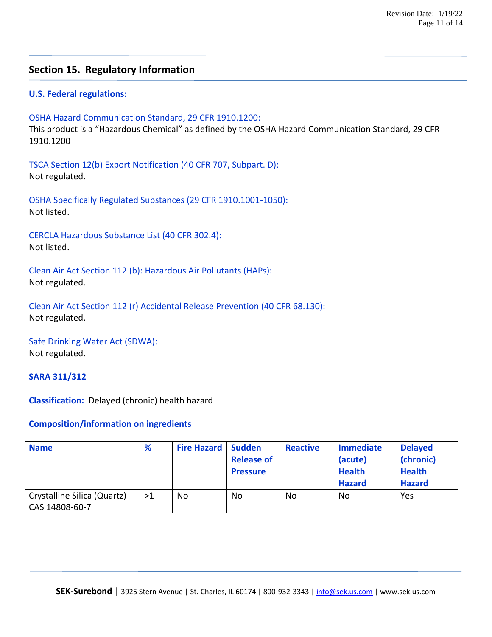# **Section 15. Regulatory Information**

# **U.S. Federal regulations:**

OSHA Hazard Communication Standard, 29 CFR 1910.1200:

This product is a "Hazardous Chemical" as defined by the OSHA Hazard Communication Standard, 29 CFR 1910.1200

TSCA Section 12(b) Export Notification (40 CFR 707, Subpart. D): Not regulated.

OSHA Specifically Regulated Substances (29 CFR 1910.1001-1050): Not listed.

CERCLA Hazardous Substance List (40 CFR 302.4): Not listed.

Clean Air Act Section 112 (b): Hazardous Air Pollutants (HAPs): Not regulated.

Clean Air Act Section 112 (r) Accidental Release Prevention (40 CFR 68.130): Not regulated.

Safe Drinking Water Act (SDWA): Not regulated.

#### **SARA 311/312**

**Classification:** Delayed (chronic) health hazard

#### **Composition/information on ingredients**

| <b>Name</b>                                   | %  | <b>Fire Hazard   Sudden</b> | <b>Release of</b><br><b>Pressure</b> | <b>Reactive</b> | <b>Immediate</b><br>(acute)<br><b>Health</b><br><b>Hazard</b> | <b>Delayed</b><br>(chronic)<br><b>Health</b><br><b>Hazard</b> |
|-----------------------------------------------|----|-----------------------------|--------------------------------------|-----------------|---------------------------------------------------------------|---------------------------------------------------------------|
| Crystalline Silica (Quartz)<br>CAS 14808-60-7 | >1 | No                          | No                                   | No              | No                                                            | Yes                                                           |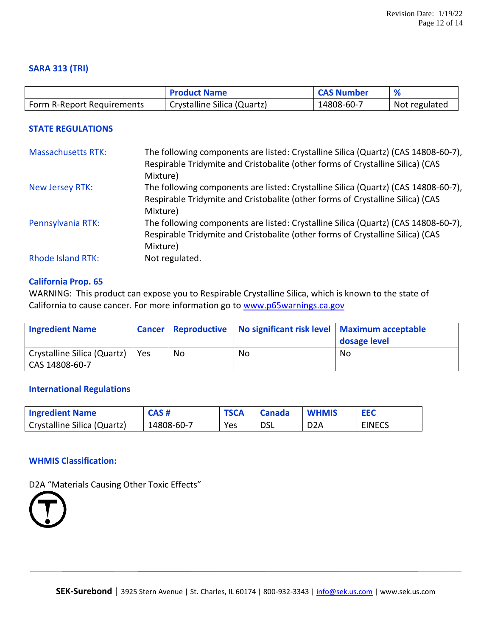# **SARA 313 (TRI)**

|                            | <b>Product Name</b>         | <b>CAS Number</b> |               |
|----------------------------|-----------------------------|-------------------|---------------|
| Form R-Report Requirements | Crystalline Silica (Quartz) | 14808-60-7        | Not regulated |

## **STATE REGULATIONS**

| <b>Massachusetts RTK:</b> | The following components are listed: Crystalline Silica (Quartz) (CAS 14808-60-7),         |
|---------------------------|--------------------------------------------------------------------------------------------|
|                           | Respirable Tridymite and Cristobalite (other forms of Crystalline Silica) (CAS<br>Mixture) |
| New Jersey RTK:           | The following components are listed: Crystalline Silica (Quartz) (CAS 14808-60-7),         |
|                           | Respirable Tridymite and Cristobalite (other forms of Crystalline Silica) (CAS             |
|                           | Mixture)                                                                                   |
| Pennsylvania RTK:         | The following components are listed: Crystalline Silica (Quartz) (CAS 14808-60-7),         |
|                           | Respirable Tridymite and Cristobalite (other forms of Crystalline Silica) (CAS             |
|                           | Mixture)                                                                                   |
| <b>Rhode Island RTK:</b>  | Not regulated.                                                                             |

#### **California Prop. 65**

WARNING: This product can expose you to Respirable Crystalline Silica, which is known to the state of California to cause cancer. For more information go to [www.p65warnings.ca.gov](http://www.p65warnings.ca.gov/)

| <b>Ingredient Name</b>                        |            | <b>Cancer Reproductive</b> | No significant risk level   Maximum acceptable | dosage level |
|-----------------------------------------------|------------|----------------------------|------------------------------------------------|--------------|
| Crystalline Silica (Quartz)<br>CAS 14808-60-7 | <b>Yes</b> | No                         | No                                             | No           |

#### **International Regulations**

| <b>Ingredient Name</b>      | CAS#       | <b>TSCA</b> | <b>Canada</b> | <b>WHMIS</b>     | <b>EEC</b>    |
|-----------------------------|------------|-------------|---------------|------------------|---------------|
| Crystalline Silica (Quartz) | 14808-60-7 | Yes         | <b>DSL</b>    | D <sub>2</sub> A | <b>EINECS</b> |

# **WHMIS Classification:**

D2A "Materials Causing Other Toxic Effects"

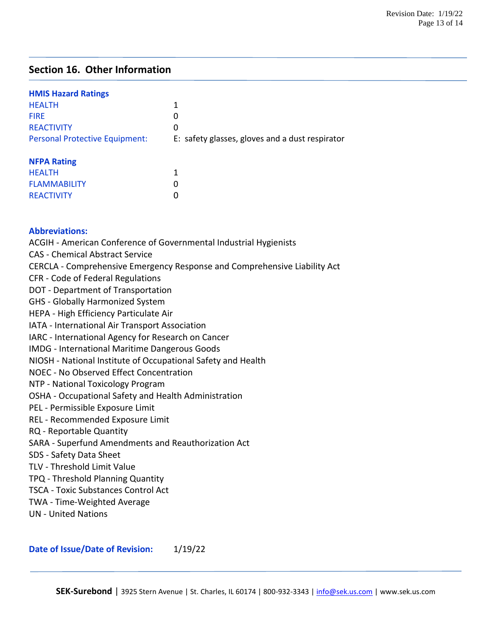# **Section 16. Other Information**

| <b>HMIS Hazard Ratings</b>            |                                                 |
|---------------------------------------|-------------------------------------------------|
| <b>HEALTH</b>                         | 1                                               |
| <b>FIRF</b>                           | 0                                               |
| <b>REACTIVITY</b>                     | 0                                               |
| <b>Personal Protective Equipment:</b> | E: safety glasses, gloves and a dust respirator |
| <b>NFPA Rating</b>                    |                                                 |

| <b>HEALTH</b>       |   |
|---------------------|---|
| <b>FLAMMABILITY</b> | O |
| <b>REACTIVITY</b>   | 0 |

# **Abbreviations:**

ACGIH - American Conference of Governmental Industrial Hygienists CAS - Chemical Abstract Service CERCLA - Comprehensive Emergency Response and Comprehensive Liability Act CFR - Code of Federal Regulations DOT - Department of Transportation GHS - Globally Harmonized System HEPA - High Efficiency Particulate Air IATA - International Air Transport Association IARC - International Agency for Research on Cancer IMDG - International Maritime Dangerous Goods NIOSH - National Institute of Occupational Safety and Health NOEC - No Observed Effect Concentration NTP - National Toxicology Program OSHA - Occupational Safety and Health Administration PEL - Permissible Exposure Limit REL - Recommended Exposure Limit RQ - Reportable Quantity SARA - Superfund Amendments and Reauthorization Act SDS - Safety Data Sheet TLV - Threshold Limit Value TPQ - Threshold Planning Quantity TSCA - Toxic Substances Control Act TWA - Time-Weighted Average UN - United Nations

Date of Issue/Date of Revision: 1/19/22